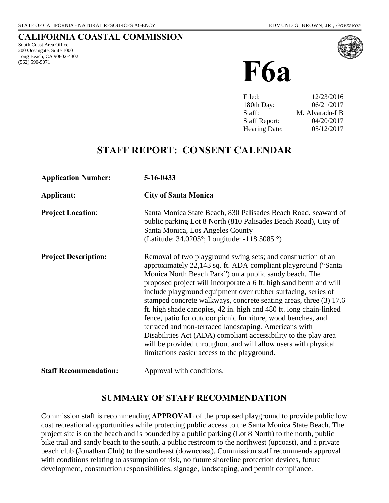#### **CALIFORNIA COASTAL COMMISSION**

South Coast Area Office 200 Oceangate, Suite 1000 Long Beach, CA 90802-4302 (562) 590-5071



**F6a**

| Filed:               | 12/23/2016     |
|----------------------|----------------|
| 180th Day:           | 06/21/2017     |
| Staff:               | M. Alvarado-LB |
| <b>Staff Report:</b> | 04/20/2017     |
| <b>Hearing Date:</b> | 05/12/2017     |

## **STAFF REPORT: CONSENT CALENDAR**

| <b>Application Number:</b>   | 5-16-0433                                                                                                                                                                                                                                                                                                                                                                                                                                                                                                                                                                                                                                                                                                                                                                               |
|------------------------------|-----------------------------------------------------------------------------------------------------------------------------------------------------------------------------------------------------------------------------------------------------------------------------------------------------------------------------------------------------------------------------------------------------------------------------------------------------------------------------------------------------------------------------------------------------------------------------------------------------------------------------------------------------------------------------------------------------------------------------------------------------------------------------------------|
| Applicant:                   | <b>City of Santa Monica</b>                                                                                                                                                                                                                                                                                                                                                                                                                                                                                                                                                                                                                                                                                                                                                             |
| <b>Project Location:</b>     | Santa Monica State Beach, 830 Palisades Beach Road, seaward of<br>public parking Lot 8 North (810 Palisades Beach Road), City of<br>Santa Monica, Los Angeles County<br>(Latitude: 34.0205°; Longitude: -118.5085 °)                                                                                                                                                                                                                                                                                                                                                                                                                                                                                                                                                                    |
| <b>Project Description:</b>  | Removal of two playground swing sets; and construction of an<br>approximately 22,143 sq. ft. ADA compliant playground ("Santa"<br>Monica North Beach Park") on a public sandy beach. The<br>proposed project will incorporate a 6 ft. high sand berm and will<br>include playground equipment over rubber surfacing, series of<br>stamped concrete walkways, concrete seating areas, three (3) 17.6<br>ft. high shade canopies, 42 in. high and 480 ft. long chain-linked<br>fence, patio for outdoor picnic furniture, wood benches, and<br>terraced and non-terraced landscaping. Americans with<br>Disabilities Act (ADA) compliant accessibility to the play area<br>will be provided throughout and will allow users with physical<br>limitations easier access to the playground. |
| <b>Staff Recommendation:</b> | Approval with conditions.                                                                                                                                                                                                                                                                                                                                                                                                                                                                                                                                                                                                                                                                                                                                                               |

## **SUMMARY OF STAFF RECOMMENDATION**

Commission staff is recommending **APPROVAL** of the proposed playground to provide public low cost recreational opportunities while protecting public access to the Santa Monica State Beach. The project site is on the beach and is bounded by a public parking (Lot 8 North) to the north, public bike trail and sandy beach to the south, a public restroom to the northwest (upcoast), and a private beach club (Jonathan Club) to the southeast (downcoast). Commission staff recommends approval with conditions relating to assumption of risk, no future shoreline protection devices, future development, construction responsibilities, signage, landscaping, and permit compliance.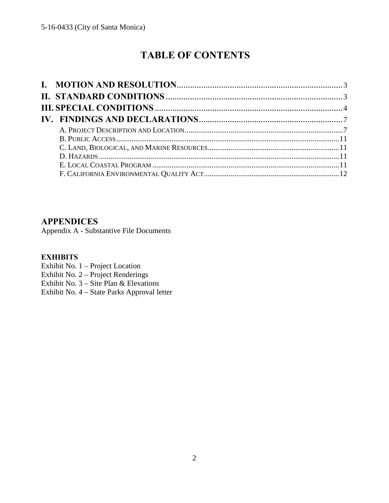# **TABLE OF CONTENTS**

## **APPENDICES**

Appendix A - Substantive File Documents

### **EXHIBITS**

- Exhibit No. 1 Project Location
- Exhibit No. 2 Project Renderings
- Exhibit No.  $3 \text{Site Plan} \& \text{Elevations}$
- [Exhibit No. 4 State Parks Approval letter](https://documents.coastal.ca.gov/reports/2017/5/F6a/F6a-5-2017-exhibits.pdf)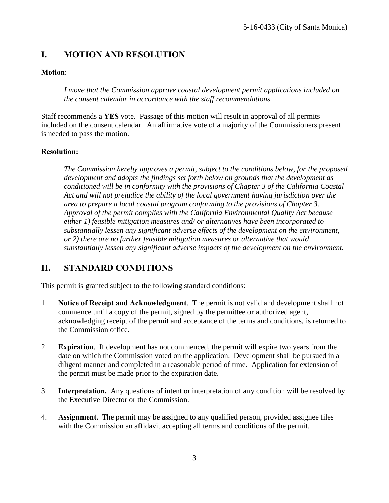## <span id="page-2-0"></span>**I. MOTION AND RESOLUTION**

## **Motion**:

*I move that the Commission approve coastal development permit applications included on the consent calendar in accordance with the staff recommendations.* 

Staff recommends a **YES** vote. Passage of this motion will result in approval of all permits included on the consent calendar. An affirmative vote of a majority of the Commissioners present is needed to pass the motion.

### **Resolution:**

*The Commission hereby approves a permit, subject to the conditions below, for the proposed development and adopts the findings set forth below on grounds that the development as conditioned will be in conformity with the provisions of Chapter 3 of the California Coastal Act and will not prejudice the ability of the local government having jurisdiction over the area to prepare a local coastal program conforming to the provisions of Chapter 3. Approval of the permit complies with the California Environmental Quality Act because either 1) feasible mitigation measures and/ or alternatives have been incorporated to substantially lessen any significant adverse effects of the development on the environment, or 2) there are no further feasible mitigation measures or alternative that would substantially lessen any significant adverse impacts of the development on the environment.* 

## <span id="page-2-1"></span>**II. STANDARD CONDITIONS**

This permit is granted subject to the following standard conditions:

- 1. **Notice of Receipt and Acknowledgment**. The permit is not valid and development shall not commence until a copy of the permit, signed by the permittee or authorized agent, acknowledging receipt of the permit and acceptance of the terms and conditions, is returned to the Commission office.
- 2. **Expiration**. If development has not commenced, the permit will expire two years from the date on which the Commission voted on the application. Development shall be pursued in a diligent manner and completed in a reasonable period of time. Application for extension of the permit must be made prior to the expiration date.
- 3. **Interpretation.** Any questions of intent or interpretation of any condition will be resolved by the Executive Director or the Commission.
- 4. **Assignment**. The permit may be assigned to any qualified person, provided assignee files with the Commission an affidavit accepting all terms and conditions of the permit.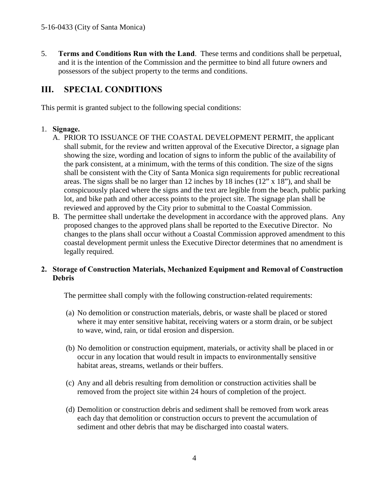5. **Terms and Conditions Run with the Land**. These terms and conditions shall be perpetual, and it is the intention of the Commission and the permittee to bind all future owners and possessors of the subject property to the terms and conditions.

## <span id="page-3-0"></span>**III. SPECIAL CONDITIONS**

This permit is granted subject to the following special conditions:

### 1. **Signage.**

- A. PRIOR TO ISSUANCE OF THE COASTAL DEVELOPMENT PERMIT, the applicant shall submit, for the review and written approval of the Executive Director, a signage plan showing the size, wording and location of signs to inform the public of the availability of the park consistent, at a minimum, with the terms of this condition. The size of the signs shall be consistent with the City of Santa Monica sign requirements for public recreational areas. The signs shall be no larger than 12 inches by 18 inches (12" x 18"), and shall be conspicuously placed where the signs and the text are legible from the beach, public parking lot, and bike path and other access points to the project site. The signage plan shall be reviewed and approved by the City prior to submittal to the Coastal Commission.
- B. The permittee shall undertake the development in accordance with the approved plans. Any proposed changes to the approved plans shall be reported to the Executive Director. No changes to the plans shall occur without a Coastal Commission approved amendment to this coastal development permit unless the Executive Director determines that no amendment is legally required.

### **2. Storage of Construction Materials, Mechanized Equipment and Removal of Construction Debris**

The permittee shall comply with the following construction-related requirements:

- (a) No demolition or construction materials, debris, or waste shall be placed or stored where it may enter sensitive habitat, receiving waters or a storm drain, or be subject to wave, wind, rain, or tidal erosion and dispersion.
- (b) No demolition or construction equipment, materials, or activity shall be placed in or occur in any location that would result in impacts to environmentally sensitive habitat areas, streams, wetlands or their buffers.
- (c) Any and all debris resulting from demolition or construction activities shall be removed from the project site within 24 hours of completion of the project.
- (d) Demolition or construction debris and sediment shall be removed from work areas each day that demolition or construction occurs to prevent the accumulation of sediment and other debris that may be discharged into coastal waters.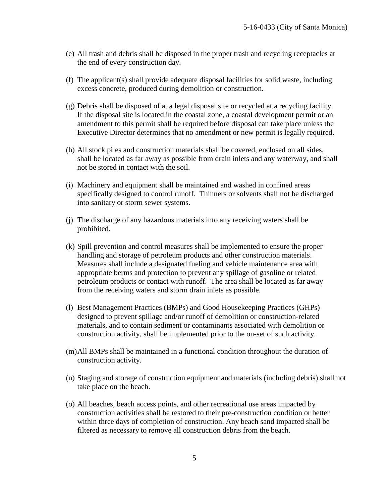- (e) All trash and debris shall be disposed in the proper trash and recycling receptacles at the end of every construction day.
- (f) The applicant(s) shall provide adequate disposal facilities for solid waste, including excess concrete, produced during demolition or construction.
- (g) Debris shall be disposed of at a legal disposal site or recycled at a recycling facility. If the disposal site is located in the coastal zone, a coastal development permit or an amendment to this permit shall be required before disposal can take place unless the Executive Director determines that no amendment or new permit is legally required.
- (h) All stock piles and construction materials shall be covered, enclosed on all sides, shall be located as far away as possible from drain inlets and any waterway, and shall not be stored in contact with the soil.
- (i) Machinery and equipment shall be maintained and washed in confined areas specifically designed to control runoff. Thinners or solvents shall not be discharged into sanitary or storm sewer systems.
- (j) The discharge of any hazardous materials into any receiving waters shall be prohibited.
- (k) Spill prevention and control measures shall be implemented to ensure the proper handling and storage of petroleum products and other construction materials. Measures shall include a designated fueling and vehicle maintenance area with appropriate berms and protection to prevent any spillage of gasoline or related petroleum products or contact with runoff. The area shall be located as far away from the receiving waters and storm drain inlets as possible.
- (l) Best Management Practices (BMPs) and Good Housekeeping Practices (GHPs) designed to prevent spillage and/or runoff of demolition or construction-related materials, and to contain sediment or contaminants associated with demolition or construction activity, shall be implemented prior to the on-set of such activity.
- (m)All BMPs shall be maintained in a functional condition throughout the duration of construction activity.
- (n) Staging and storage of construction equipment and materials (including debris) shall not take place on the beach.
- (o) All beaches, beach access points, and other recreational use areas impacted by construction activities shall be restored to their pre-construction condition or better within three days of completion of construction. Any beach sand impacted shall be filtered as necessary to remove all construction debris from the beach.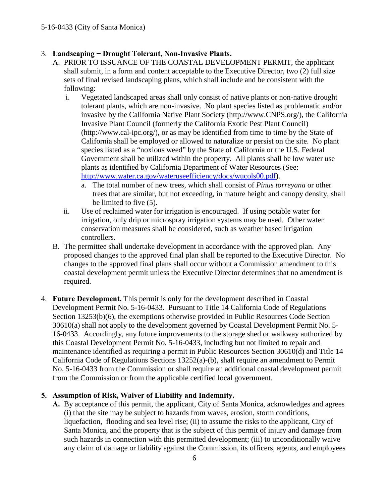## 3. **Landscaping − Drought Tolerant, Non-Invasive Plants.**

- A. PRIOR TO ISSUANCE OF THE COASTAL DEVELOPMENT PERMIT, the applicant shall submit, in a form and content acceptable to the Executive Director, two (2) full size sets of final revised landscaping plans, which shall include and be consistent with the following:
	- i. Vegetated landscaped areas shall only consist of native plants or non-native drought tolerant plants, which are non-invasive. No plant species listed as problematic and/or invasive by the California Native Plant Society (http://www.CNPS.org/), the California Invasive Plant Council (formerly the California Exotic Pest Plant Council) (http://www.cal-ipc.org/), or as may be identified from time to time by the State of California shall be employed or allowed to naturalize or persist on the site. No plant species listed as a "noxious weed" by the State of California or the U.S. Federal Government shall be utilized within the property. All plants shall be low water use plants as identified by California Department of Water Resources (See: [http://www.water.ca.gov/wateruseefficiency/docs/wucols00.pdf\)](http://www.water.ca.gov/wateruseefficiency/docs/wucols00.pdf).
		- a. The total number of new trees, which shall consist of *Pinus torreyana* or other trees that are similar, but not exceeding, in mature height and canopy density, shall be limited to five (5).
	- ii. Use of reclaimed water for irrigation is encouraged. If using potable water for irrigation, only drip or microspray irrigation systems may be used. Other water conservation measures shall be considered, such as weather based irrigation controllers.
- B. The permittee shall undertake development in accordance with the approved plan. Any proposed changes to the approved final plan shall be reported to the Executive Director. No changes to the approved final plans shall occur without a Commission amendment to this coastal development permit unless the Executive Director determines that no amendment is required.
- 4. **Future Development.** This permit is only for the development described in Coastal Development Permit No. 5-16-0433. Pursuant to Title 14 California Code of Regulations Section 13253(b)(6), the exemptions otherwise provided in Public Resources Code Section 30610(a) shall not apply to the development governed by Coastal Development Permit No. 5- 16-0433. Accordingly, any future improvements to the storage shed or walkway authorized by this Coastal Development Permit No. 5-16-0433, including but not limited to repair and maintenance identified as requiring a permit in Public Resources Section 30610(d) and Title 14 California Code of Regulations Sections 13252(a)-(b), shall require an amendment to Permit No. 5-16-0433 from the Commission or shall require an additional coastal development permit from the Commission or from the applicable certified local government.

## **5. Assumption of Risk, Waiver of Liability and Indemnity.**

**A.** By acceptance of this permit, the applicant, City of Santa Monica, acknowledges and agrees (i) that the site may be subject to hazards from waves, erosion, storm conditions, liquefaction, flooding and sea level rise; (ii) to assume the risks to the applicant, City of Santa Monica, and the property that is the subject of this permit of injury and damage from such hazards in connection with this permitted development; (iii) to unconditionally waive any claim of damage or liability against the Commission, its officers, agents, and employees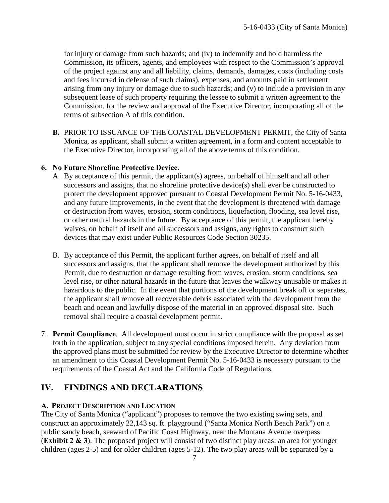for injury or damage from such hazards; and (iv) to indemnify and hold harmless the Commission, its officers, agents, and employees with respect to the Commission's approval of the project against any and all liability, claims, demands, damages, costs (including costs and fees incurred in defense of such claims), expenses, and amounts paid in settlement arising from any injury or damage due to such hazards; and (v) to include a provision in any subsequent lease of such property requiring the lessee to submit a written agreement to the Commission, for the review and approval of the Executive Director, incorporating all of the terms of subsection A of this condition.

**B.** PRIOR TO ISSUANCE OF THE COASTAL DEVELOPMENT PERMIT, the City of Santa Monica, as applicant, shall submit a written agreement, in a form and content acceptable to the Executive Director, incorporating all of the above terms of this condition.

#### **6. No Future Shoreline Protective Device.**

- A. By acceptance of this permit, the applicant(s) agrees, on behalf of himself and all other successors and assigns, that no shoreline protective device(s) shall ever be constructed to protect the development approved pursuant to Coastal Development Permit No. 5-16-0433, and any future improvements, in the event that the development is threatened with damage or destruction from waves, erosion, storm conditions, liquefaction, flooding, sea level rise, or other natural hazards in the future. By acceptance of this permit, the applicant hereby waives, on behalf of itself and all successors and assigns, any rights to construct such devices that may exist under Public Resources Code Section 30235.
- B. By acceptance of this Permit, the applicant further agrees, on behalf of itself and all successors and assigns, that the applicant shall remove the development authorized by this Permit, due to destruction or damage resulting from waves, erosion, storm conditions, sea level rise, or other natural hazards in the future that leaves the walkway unusable or makes it hazardous to the public. In the event that portions of the development break off or separates, the applicant shall remove all recoverable debris associated with the development from the beach and ocean and lawfully dispose of the material in an approved disposal site. Such removal shall require a coastal development permit.
- 7. **Permit Compliance**. All development must occur in strict compliance with the proposal as set forth in the application, subject to any special conditions imposed herein. Any deviation from the approved plans must be submitted for review by the Executive Director to determine whether an amendment to this Coastal Development Permit No. 5-16-0433 is necessary pursuant to the requirements of the Coastal Act and the California Code of Regulations.

## <span id="page-6-0"></span>**IV. FINDINGS AND DECLARATIONS**

### <span id="page-6-1"></span>**A. PROJECT DESCRIPTION AND LOCATION**

The City of Santa Monica ("applicant") proposes to remove the two existing swing sets, and construct an approximately 22,143 sq. ft. playground ("Santa Monica North Beach Park") on a public sandy beach, seaward of Pacific Coast Highway, near the Montana Avenue overpass (**[Exhibit 2 & 3](https://documents.coastal.ca.gov/reports/2017/5/F6a/F6a-5-2017-exhibits.pdf)**). The proposed project will consist of two distinct play areas: an area for younger children (ages 2-5) and for older children (ages 5-12). The two play areas will be separated by a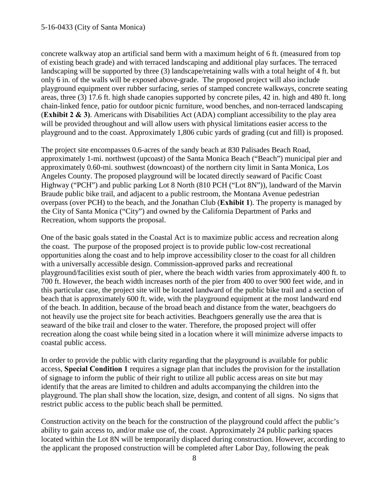#### 5-16-0433 (City of Santa Monica)

concrete walkway atop an artificial sand berm with a maximum height of 6 ft. (measured from top of existing beach grade) and with terraced landscaping and additional play surfaces. The terraced landscaping will be supported by three (3) landscape/retaining walls with a total height of 4 ft. but only 6 in. of the walls will be exposed above-grade. The proposed project will also include playground equipment over rubber surfacing, series of stamped concrete walkways, concrete seating areas, three (3) 17.6 ft. high shade canopies supported by concrete piles, 42 in. high and 480 ft. long chain-linked fence, patio for outdoor picnic furniture, wood benches, and non-terraced landscaping (**[Exhibit 2 & 3\)](https://documents.coastal.ca.gov/reports/2017/5/F6a/F6a-5-2017-exhibits.pdf)**. Americans with Disabilities Act (ADA) compliant accessibility to the play area will be provided throughout and will allow users with physical limitations easier access to the playground and to the coast. Approximately 1,806 cubic yards of grading (cut and fill) is proposed.

The project site encompasses 0.6-acres of the sandy beach at 830 Palisades Beach Road, approximately 1-mi. northwest (upcoast) of the Santa Monica Beach ("Beach") municipal pier and approximately 0.60-mi. southwest (downcoast) of the northern city limit in Santa Monica, Los Angeles County. The proposed playground will be located directly seaward of Pacific Coast Highway ("PCH") and public parking Lot 8 North (810 PCH ("Lot 8N")), landward of the Marvin Braude public bike trail, and adjacent to a public restroom, the Montana Avenue pedestrian overpass (over PCH) to the beach, and the Jonathan Club (**[Exhibit 1](https://documents.coastal.ca.gov/reports/2017/5/F6a/F6a-5-2017-exhibits.pdf)**). The property is managed by the City of Santa Monica ("City") and owned by the California Department of Parks and Recreation, whom supports the proposal.

One of the basic goals stated in the Coastal Act is to maximize public access and recreation along the coast. The purpose of the proposed project is to provide public low-cost recreational opportunities along the coast and to help improve accessibility closer to the coast for all children with a universally accessible design. Commission-approved parks and recreational playground/facilities exist south of pier, where the beach width varies from approximately 400 ft. to 700 ft. However, the beach width increases north of the pier from 400 to over 900 feet wide, and in this particular case, the project site will be located landward of the public bike trail and a section of beach that is approximately 600 ft. wide, with the playground equipment at the most landward end of the beach. In addition, because of the broad beach and distance from the water, beachgoers do not heavily use the project site for beach activities. Beachgoers generally use the area that is seaward of the bike trail and closer to the water. Therefore, the proposed project will offer recreation along the coast while being sited in a location where it will minimize adverse impacts to coastal public access.

In order to provide the public with clarity regarding that the playground is available for public access, **Special Condition 1** requires a signage plan that includes the provision for the installation of signage to inform the public of their right to utilize all public access areas on site but may identify that the areas are limited to children and adults accompanying the children into the playground. The plan shall show the location, size, design, and content of all signs. No signs that restrict public access to the public beach shall be permitted.

Construction activity on the beach for the construction of the playground could affect the public's ability to gain access to, and/or make use of, the coast. Approximately 24 public parking spaces located within the Lot 8N will be temporarily displaced during construction. However, according to the applicant the proposed construction will be completed after Labor Day, following the peak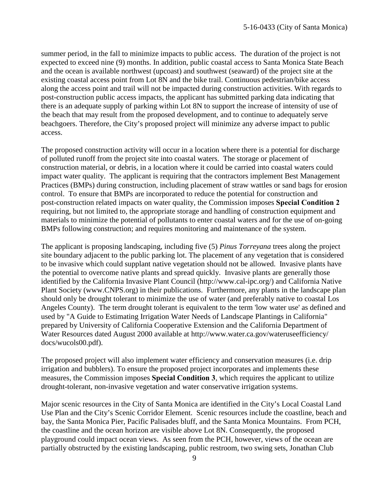summer period, in the fall to minimize impacts to public access. The duration of the project is not expected to exceed nine (9) months. In addition, public coastal access to Santa Monica State Beach and the ocean is available northwest (upcoast) and southwest (seaward) of the project site at the existing coastal access point from Lot 8N and the bike trail. Continuous pedestrian/bike access along the access point and trail will not be impacted during construction activities. With regards to post-construction public access impacts, the applicant has submitted parking data indicating that there is an adequate supply of parking within Lot 8N to support the increase of intensity of use of the beach that may result from the proposed development, and to continue to adequately serve beachgoers. Therefore, the City's proposed project will minimize any adverse impact to public access.

The proposed construction activity will occur in a location where there is a potential for discharge of polluted runoff from the project site into coastal waters. The storage or placement of construction material, or debris, in a location where it could be carried into coastal waters could impact water quality. The applicant is requiring that the contractors implement Best Management Practices (BMPs) during construction, including placement of straw wattles or sand bags for erosion control. To ensure that BMPs are incorporated to reduce the potential for construction and post-construction related impacts on water quality, the Commission imposes **Special Condition 2** requiring, but not limited to, the appropriate storage and handling of construction equipment and materials to minimize the potential of pollutants to enter coastal waters and for the use of on-going BMPs following construction; and requires monitoring and maintenance of the system.

The applicant is proposing landscaping, including five (5) *Pinus Torreyana* trees along the project site boundary adjacent to the public parking lot. The placement of any vegetation that is considered to be invasive which could supplant native vegetation should not be allowed. Invasive plants have the potential to overcome native plants and spread quickly. Invasive plants are generally those identified by the California Invasive Plant Council (http://www.cal-ipc.org/) and California Native Plant Society (www.CNPS.org) in their publications. Furthermore, any plants in the landscape plan should only be drought tolerant to minimize the use of water (and preferably native to coastal Los Angeles County). The term drought tolerant is equivalent to the term 'low water use' as defined and used by "A Guide to Estimating Irrigation Water Needs of Landscape Plantings in California" prepared by University of California Cooperative Extension and the California Department of Water Resources dated August 2000 available at http://www.water.ca.gov/wateruseefficiency/ docs/wucols00.pdf).

The proposed project will also implement water efficiency and conservation measures (i.e. drip irrigation and bubblers). To ensure the proposed project incorporates and implements these measures, the Commission imposes **Special Condition 3**, which requires the applicant to utilize drought-tolerant, non-invasive vegetation and water conservative irrigation systems.

Major scenic resources in the City of Santa Monica are identified in the City's Local Coastal Land Use Plan and the City's Scenic Corridor Element. Scenic resources include the coastline, beach and bay, the Santa Monica Pier, Pacific Palisades bluff, and the Santa Monica Mountains. From PCH, the coastline and the ocean horizon are visible above Lot 8N. Consequently, the proposed playground could impact ocean views. As seen from the PCH, however, views of the ocean are partially obstructed by the existing landscaping, public restroom, two swing sets, Jonathan Club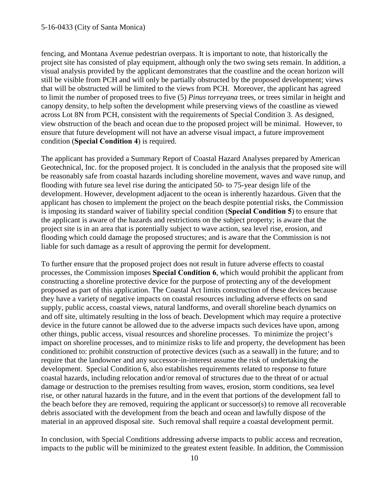fencing, and Montana Avenue pedestrian overpass. It is important to note, that historically the project site has consisted of play equipment, although only the two swing sets remain. In addition, a visual analysis provided by the applicant demonstrates that the coastline and the ocean horizon will still be visible from PCH and will only be partially obstructed by the proposed development; views that will be obstructed will be limited to the views from PCH. Moreover, the applicant has agreed to limit the number of proposed trees to five (5) *Pinus torreyana* trees, or trees similar in height and canopy density, to help soften the development while preserving views of the coastline as viewed across Lot 8N from PCH, consistent with the requirements of Special Condition 3. As designed, view obstruction of the beach and ocean due to the proposed project will be minimal. However, to ensure that future development will not have an adverse visual impact, a future improvement condition (**Special Condition 4**) is required.

The applicant has provided a Summary Report of Coastal Hazard Analyses prepared by American Geotechnical, Inc. for the proposed project. It is concluded in the analysis that the proposed site will be reasonably safe from coastal hazards including shoreline movement, waves and wave runup, and flooding with future sea level rise during the anticipated 50- to 75-year design life of the development. However, development adjacent to the ocean is inherently hazardous. Given that the applicant has chosen to implement the project on the beach despite potential risks, the Commission is imposing its standard waiver of liability special condition (**Special Condition 5**) to ensure that the applicant is aware of the hazards and restrictions on the subject property; is aware that the project site is in an area that is potentially subject to wave action, sea level rise, erosion, and flooding which could damage the proposed structures; and is aware that the Commission is not liable for such damage as a result of approving the permit for development.

To further ensure that the proposed project does not result in future adverse effects to coastal processes, the Commission imposes **Special Condition 6**, which would prohibit the applicant from constructing a shoreline protective device for the purpose of protecting any of the development proposed as part of this application. The Coastal Act limits construction of these devices because they have a variety of negative impacts on coastal resources including adverse effects on sand supply, public access, coastal views, natural landforms, and overall shoreline beach dynamics on and off site, ultimately resulting in the loss of beach. Development which may require a protective device in the future cannot be allowed due to the adverse impacts such devices have upon, among other things, public access, visual resources and shoreline processes. To minimize the project's impact on shoreline processes, and to minimize risks to life and property, the development has been conditioned to: prohibit construction of protective devices (such as a seawall) in the future; and to require that the landowner and any successor-in-interest assume the risk of undertaking the development. Special Condition 6, also establishes requirements related to response to future coastal hazards, including relocation and/or removal of structures due to the threat of or actual damage or destruction to the premises resulting from waves, erosion, storm conditions, sea level rise, or other natural hazards in the future, and in the event that portions of the development fall to the beach before they are removed, requiring the applicant or successor(s) to remove all recoverable debris associated with the development from the beach and ocean and lawfully dispose of the material in an approved disposal site. Such removal shall require a coastal development permit.

In conclusion, with Special Conditions addressing adverse impacts to public access and recreation, impacts to the public will be minimized to the greatest extent feasible. In addition, the Commission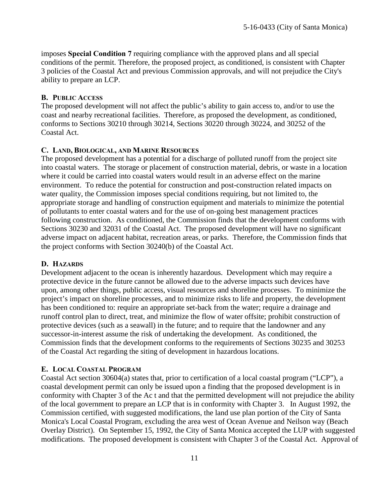imposes **Special Condition 7** requiring compliance with the approved plans and all special conditions of the permit. Therefore, the proposed project, as conditioned, is consistent with Chapter 3 policies of the Coastal Act and previous Commission approvals, and will not prejudice the City's ability to prepare an LCP.

#### <span id="page-10-0"></span>**B. PUBLIC ACCESS**

The proposed development will not affect the public's ability to gain access to, and/or to use the coast and nearby recreational facilities. Therefore, as proposed the development, as conditioned, conforms to Sections 30210 through 30214, Sections 30220 through 30224, and 30252 of the Coastal Act.

#### <span id="page-10-1"></span>**C. LAND, BIOLOGICAL, AND MARINE RESOURCES**

The proposed development has a potential for a discharge of polluted runoff from the project site into coastal waters. The storage or placement of construction material, debris, or waste in a location where it could be carried into coastal waters would result in an adverse effect on the marine environment. To reduce the potential for construction and post-construction related impacts on water quality, the Commission imposes special conditions requiring, but not limited to, the appropriate storage and handling of construction equipment and materials to minimize the potential of pollutants to enter coastal waters and for the use of on-going best management practices following construction. As conditioned, the Commission finds that the development conforms with Sections 30230 and 32031 of the Coastal Act. The proposed development will have no significant adverse impact on adjacent habitat, recreation areas, or parks. Therefore, the Commission finds that the project conforms with Section 30240(b) of the Coastal Act.

### <span id="page-10-2"></span>**D. HAZARDS**

Development adjacent to the ocean is inherently hazardous. Development which may require a protective device in the future cannot be allowed due to the adverse impacts such devices have upon, among other things, public access, visual resources and shoreline processes. To minimize the project's impact on shoreline processes, and to minimize risks to life and property, the development has been conditioned to: require an appropriate set-back from the water; require a drainage and runoff control plan to direct, treat, and minimize the flow of water offsite; prohibit construction of protective devices (such as a seawall) in the future; and to require that the landowner and any successor-in-interest assume the risk of undertaking the development. As conditioned, the Commission finds that the development conforms to the requirements of Sections 30235 and 30253 of the Coastal Act regarding the siting of development in hazardous locations.

### <span id="page-10-3"></span>**E. LOCAL COASTAL PROGRAM**

Coastal Act section 30604(a) states that, prior to certification of a local coastal program ("LCP"), a coastal development permit can only be issued upon a finding that the proposed development is in conformity with Chapter 3 of the Ac t and that the permitted development will not prejudice the ability of the local government to prepare an LCP that is in conformity with Chapter 3. In August 1992, the Commission certified, with suggested modifications, the land use plan portion of the City of Santa Monica's Local Coastal Program, excluding the area west of Ocean Avenue and Neilson way (Beach Overlay District). On September 15, 1992, the City of Santa Monica accepted the LUP with suggested modifications. The proposed development is consistent with Chapter 3 of the Coastal Act. Approval of